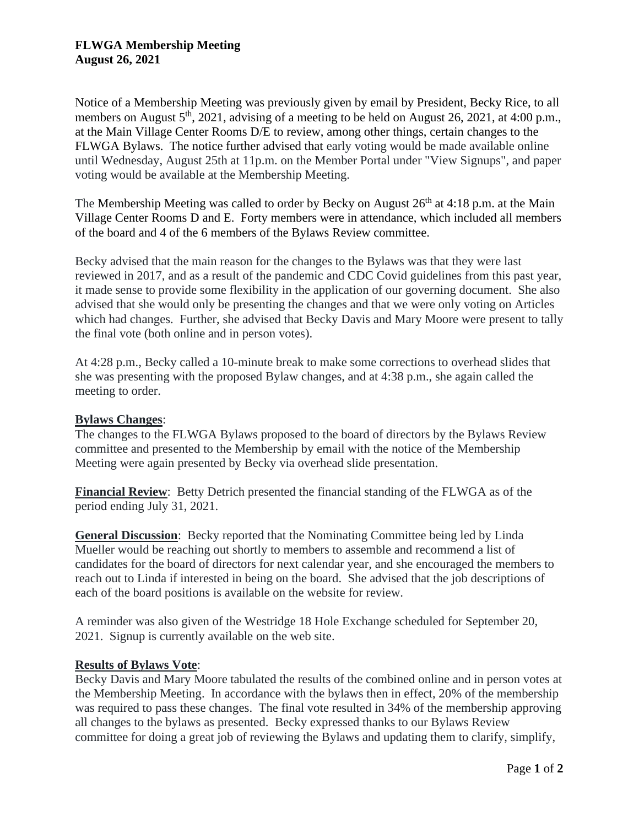## **FLWGA Membership Meeting August 26, 2021**

Notice of a Membership Meeting was previously given by email by President, Becky Rice, to all members on August  $5<sup>th</sup>$ , 2021, advising of a meeting to be held on August 26, 2021, at 4:00 p.m., at the Main Village Center Rooms D/E to review, among other things, certain changes to the FLWGA Bylaws. The notice further advised that early voting would be made available online until Wednesday, August 25th at 11p.m. on the Member Portal under "View Signups", and paper voting would be available at the Membership Meeting.

The Membership Meeting was called to order by Becky on August  $26<sup>th</sup>$  at 4:18 p.m. at the Main Village Center Rooms D and E. Forty members were in attendance, which included all members of the board and 4 of the 6 members of the Bylaws Review committee.

Becky advised that the main reason for the changes to the Bylaws was that they were last reviewed in 2017, and as a result of the pandemic and CDC Covid guidelines from this past year, it made sense to provide some flexibility in the application of our governing document. She also advised that she would only be presenting the changes and that we were only voting on Articles which had changes. Further, she advised that Becky Davis and Mary Moore were present to tally the final vote (both online and in person votes).

At 4:28 p.m., Becky called a 10-minute break to make some corrections to overhead slides that she was presenting with the proposed Bylaw changes, and at 4:38 p.m., she again called the meeting to order.

## **Bylaws Changes**:

The changes to the FLWGA Bylaws proposed to the board of directors by the Bylaws Review committee and presented to the Membership by email with the notice of the Membership Meeting were again presented by Becky via overhead slide presentation.

**Financial Review**: Betty Detrich presented the financial standing of the FLWGA as of the period ending July 31, 2021.

**General Discussion**: Becky reported that the Nominating Committee being led by Linda Mueller would be reaching out shortly to members to assemble and recommend a list of candidates for the board of directors for next calendar year, and she encouraged the members to reach out to Linda if interested in being on the board. She advised that the job descriptions of each of the board positions is available on the website for review.

A reminder was also given of the Westridge 18 Hole Exchange scheduled for September 20, 2021. Signup is currently available on the web site.

## **Results of Bylaws Vote**:

Becky Davis and Mary Moore tabulated the results of the combined online and in person votes at the Membership Meeting. In accordance with the bylaws then in effect, 20% of the membership was required to pass these changes. The final vote resulted in 34% of the membership approving all changes to the bylaws as presented. Becky expressed thanks to our Bylaws Review committee for doing a great job of reviewing the Bylaws and updating them to clarify, simplify,